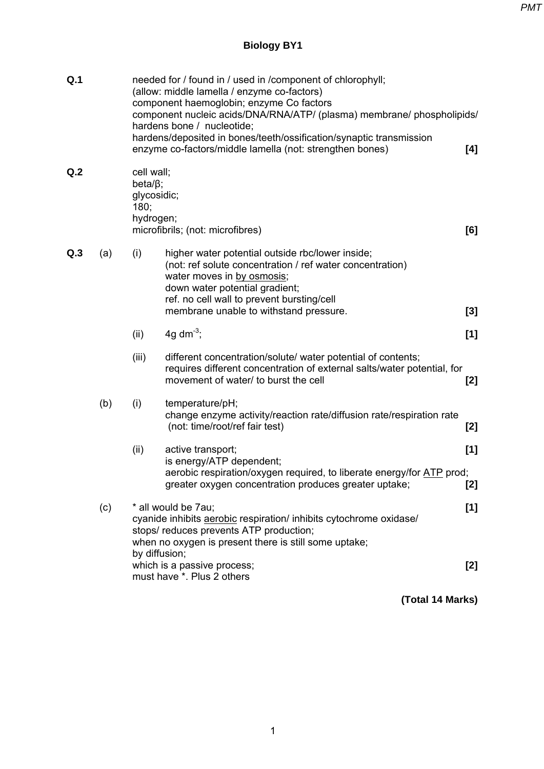*PMT*

## **Biology BY1**

| Q.1             |     | needed for / found in / used in / component of chlorophyll;<br>(allow: middle lamella / enzyme co-factors)<br>component haemoglobin; enzyme Co factors<br>component nucleic acids/DNA/RNA/ATP/ (plasma) membrane/ phospholipids/<br>hardens bone / nucleotide;<br>hardens/deposited in bones/teeth/ossification/synaptic transmission<br>enzyme co-factors/middle lamella (not: strengthen bones) |                                                                                                                                                                                                                                                                       |              |  |
|-----------------|-----|---------------------------------------------------------------------------------------------------------------------------------------------------------------------------------------------------------------------------------------------------------------------------------------------------------------------------------------------------------------------------------------------------|-----------------------------------------------------------------------------------------------------------------------------------------------------------------------------------------------------------------------------------------------------------------------|--------------|--|
| Q <sub>.2</sub> |     | cell wall;<br>beta;<br>glycosidic;<br>180;<br>hydrogen;<br>microfibrils; (not: microfibres)                                                                                                                                                                                                                                                                                                       |                                                                                                                                                                                                                                                                       |              |  |
| Q.3             | (a) | (i)                                                                                                                                                                                                                                                                                                                                                                                               | higher water potential outside rbc/lower inside;<br>(not: ref solute concentration / ref water concentration)<br>water moves in by osmosis;<br>down water potential gradient;<br>ref. no cell wall to prevent bursting/cell<br>membrane unable to withstand pressure. | [3]          |  |
|                 |     | (ii)                                                                                                                                                                                                                                                                                                                                                                                              | 4g dm <sup>-3</sup> ;                                                                                                                                                                                                                                                 | [1]          |  |
|                 |     | (iii)                                                                                                                                                                                                                                                                                                                                                                                             | different concentration/solute/ water potential of contents;<br>requires different concentration of external salts/water potential, for<br>movement of water/ to burst the cell                                                                                       | [2]          |  |
|                 | (b) | (i)                                                                                                                                                                                                                                                                                                                                                                                               | temperature/pH;<br>change enzyme activity/reaction rate/diffusion rate/respiration rate<br>(not: time/root/ref fair test)                                                                                                                                             | [2]          |  |
|                 |     | (ii)                                                                                                                                                                                                                                                                                                                                                                                              | active transport;<br>is energy/ATP dependent;<br>aerobic respiration/oxygen required, to liberate energy/for ATP prod;<br>greater oxygen concentration produces greater uptake;                                                                                       | [1]<br>$[2]$ |  |
|                 | (c) | * all would be 7au;<br>[1]<br>cyanide inhibits aerobic respiration/ inhibits cytochrome oxidase/<br>stops/ reduces prevents ATP production;<br>when no oxygen is present there is still some uptake;<br>by diffusion;                                                                                                                                                                             |                                                                                                                                                                                                                                                                       |              |  |
|                 |     |                                                                                                                                                                                                                                                                                                                                                                                                   | which is a passive process;<br>must have *. Plus 2 others                                                                                                                                                                                                             | [2]          |  |

 **(Total 14 Marks)**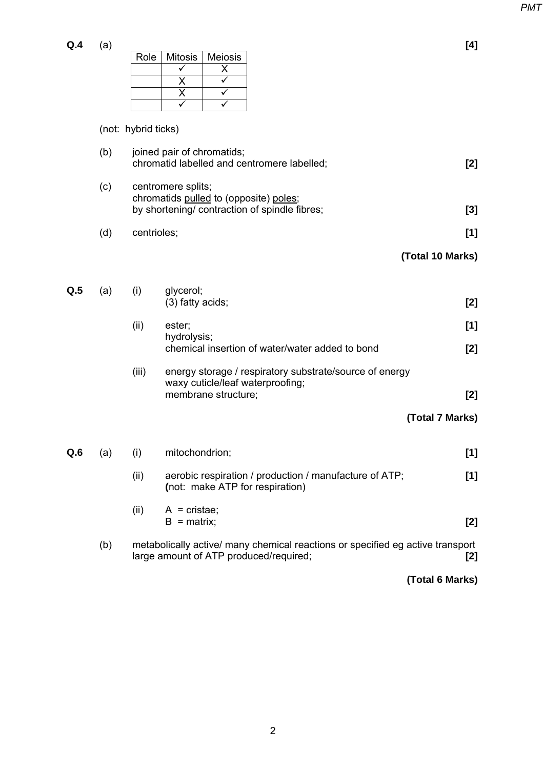| Q.4 | (a) |  |                          |
|-----|-----|--|--------------------------|
|     |     |  | Role   Mitosis   Meiosis |
|     |     |  |                          |
|     |     |  |                          |
|     |     |  |                          |
|     |     |  |                          |

## (not: hybrid ticks)

|     | (b) | joined pair of chromatids;<br>chromatid labelled and centromere labelled;                                     |                                                                                                                          |       |
|-----|-----|---------------------------------------------------------------------------------------------------------------|--------------------------------------------------------------------------------------------------------------------------|-------|
|     | (c) | centromere splits;<br>chromatids pulled to (opposite) poles;<br>by shortening/ contraction of spindle fibres; | [3]                                                                                                                      |       |
|     | (d) | centrioles;                                                                                                   |                                                                                                                          | [1]   |
|     |     |                                                                                                               | (Total 10 Marks)                                                                                                         |       |
| Q.5 | (a) | (i)                                                                                                           | glycerol;<br>(3) fatty acids;                                                                                            | [2]   |
|     |     | (ii)                                                                                                          | ester;<br>hydrolysis;                                                                                                    | [1]   |
|     |     |                                                                                                               | chemical insertion of water/water added to bond                                                                          | [2]   |
|     |     | (iii)                                                                                                         | energy storage / respiratory substrate/source of energy<br>waxy cuticle/leaf waterproofing;<br>membrane structure;       | $[2]$ |
|     |     |                                                                                                               | (Total 7 Marks)                                                                                                          |       |
| Q.6 | (a) | (i)                                                                                                           | mitochondrion;                                                                                                           | [1]   |
|     |     | (ii)                                                                                                          | aerobic respiration / production / manufacture of ATP;<br>(not: make ATP for respiration)                                | [1]   |
|     |     | (ii)                                                                                                          | $A = \text{cristae}$<br>$B =$ matrix;                                                                                    | [2]   |
|     | (b) |                                                                                                               | metabolically active/ many chemical reactions or specified eg active transport<br>large amount of ATP produced/required; | [2]   |

**(Total 6 Marks)**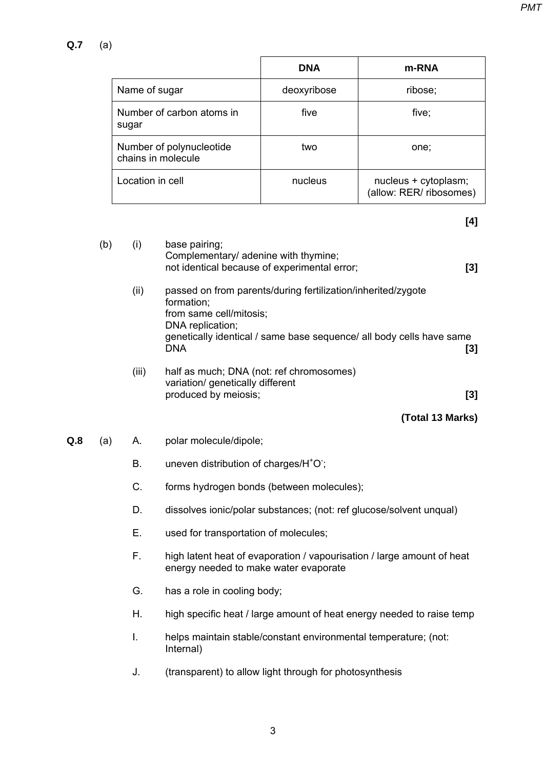|                                                | <b>DNA</b>  | m-RNA                                           |
|------------------------------------------------|-------------|-------------------------------------------------|
| Name of sugar                                  | deoxyribose | ribose;                                         |
| Number of carbon atoms in<br>sugar             | five        | five;                                           |
| Number of polynucleotide<br>chains in molecule | two         | one:                                            |
| Location in cell                               | nucleus     | nucleus + cytoplasm;<br>(allow: RER/ ribosomes) |

**[4]** 

|     | (b) | (i)   | base pairing;<br>Complementary/ adenine with thymine;<br>not identical because of experimental error;                                                                                                           | [3] |
|-----|-----|-------|-----------------------------------------------------------------------------------------------------------------------------------------------------------------------------------------------------------------|-----|
|     |     | (ii)  | passed on from parents/during fertilization/inherited/zygote<br>formation;<br>from same cell/mitosis;<br>DNA replication;<br>genetically identical / same base sequence/ all body cells have same<br><b>DNA</b> | [3] |
|     |     | (iii) | half as much; DNA (not: ref chromosomes)<br>variation/ genetically different<br>produced by meiosis;                                                                                                            | [3] |
|     |     |       | (Total 13 Marks)                                                                                                                                                                                                |     |
| Q.8 | (a) | A.    | polar molecule/dipole;                                                                                                                                                                                          |     |
|     |     | Β.    | uneven distribution of charges/H <sup>+</sup> O;                                                                                                                                                                |     |
|     |     | C.    | forms hydrogen bonds (between molecules);                                                                                                                                                                       |     |
|     |     | D.    | dissolves ionic/polar substances; (not: ref glucose/solvent unqual)                                                                                                                                             |     |
|     |     | Ε.    | used for transportation of molecules;                                                                                                                                                                           |     |
|     |     | F.    | high latent heat of evaporation / vapourisation / large amount of heat<br>energy needed to make water evaporate                                                                                                 |     |
|     |     | G.    | has a role in cooling body;                                                                                                                                                                                     |     |
|     |     | Η.    | high specific heat / large amount of heat energy needed to raise temp                                                                                                                                           |     |
|     |     | I.    | helps maintain stable/constant environmental temperature; (not:<br>Internal)                                                                                                                                    |     |

J. (transparent) to allow light through for photosynthesis